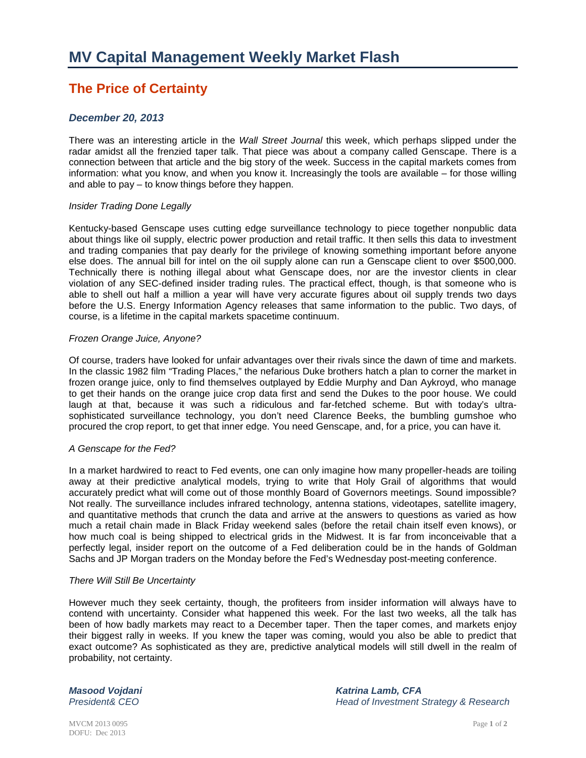# **The Price of Certainty**

## *December 20, 2013*

There was an interesting article in the *Wall Street Journal* this week, which perhaps slipped under the radar amidst all the frenzied taper talk. That piece was about a company called Genscape. There is a connection between that article and the big story of the week. Success in the capital markets comes from information: what you know, and when you know it. Increasingly the tools are available – for those willing and able to pay – to know things before they happen.

#### *Insider Trading Done Legally*

Kentucky-based Genscape uses cutting edge surveillance technology to piece together nonpublic data about things like oil supply, electric power production and retail traffic. It then sells this data to investment and trading companies that pay dearly for the privilege of knowing something important before anyone else does. The annual bill for intel on the oil supply alone can run a Genscape client to over \$500,000. Technically there is nothing illegal about what Genscape does, nor are the investor clients in clear violation of any SEC-defined insider trading rules. The practical effect, though, is that someone who is able to shell out half a million a year will have very accurate figures about oil supply trends two days before the U.S. Energy Information Agency releases that same information to the public. Two days, of course, is a lifetime in the capital markets spacetime continuum.

#### *Frozen Orange Juice, Anyone?*

Of course, traders have looked for unfair advantages over their rivals since the dawn of time and markets. In the classic 1982 film "Trading Places," the nefarious Duke brothers hatch a plan to corner the market in frozen orange juice, only to find themselves outplayed by Eddie Murphy and Dan Aykroyd, who manage to get their hands on the orange juice crop data first and send the Dukes to the poor house. We could laugh at that, because it was such a ridiculous and far-fetched scheme. But with today's ultrasophisticated surveillance technology, you don't need Clarence Beeks, the bumbling gumshoe who procured the crop report, to get that inner edge. You need Genscape, and, for a price, you can have it.

### *A Genscape for the Fed?*

In a market hardwired to react to Fed events, one can only imagine how many propeller-heads are toiling away at their predictive analytical models, trying to write that Holy Grail of algorithms that would accurately predict what will come out of those monthly Board of Governors meetings. Sound impossible? Not really. The surveillance includes infrared technology, antenna stations, videotapes, satellite imagery, and quantitative methods that crunch the data and arrive at the answers to questions as varied as how much a retail chain made in Black Friday weekend sales (before the retail chain itself even knows), or how much coal is being shipped to electrical grids in the Midwest. It is far from inconceivable that a perfectly legal, insider report on the outcome of a Fed deliberation could be in the hands of Goldman Sachs and JP Morgan traders on the Monday before the Fed's Wednesday post-meeting conference.

#### *There Will Still Be Uncertainty*

However much they seek certainty, though, the profiteers from insider information will always have to contend with uncertainty. Consider what happened this week. For the last two weeks, all the talk has been of how badly markets may react to a December taper. Then the taper comes, and markets enjoy their biggest rally in weeks. If you knew the taper was coming, would you also be able to predict that exact outcome? As sophisticated as they are, predictive analytical models will still dwell in the realm of probability, not certainty.

*Masood Vojdani Katrina Lamb, CFA Head of Investment Strategy & Research*